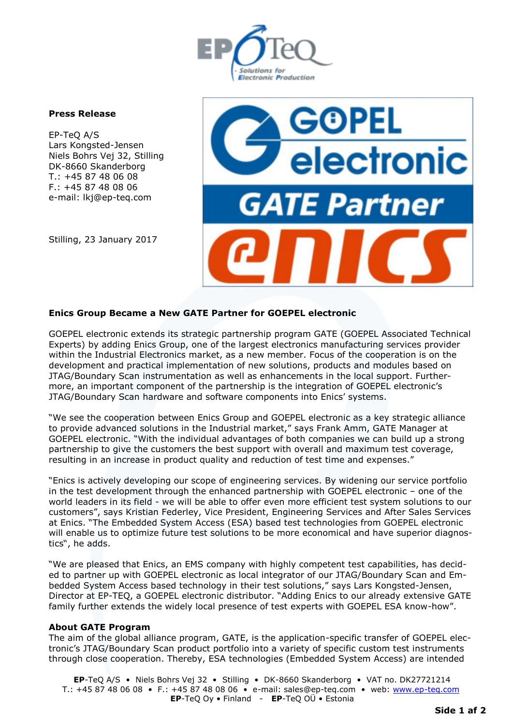

## **Press Release**

EP-TeQ A/S Lars Kongsted-Jensen Niels Bohrs Vej 32, Stilling DK-8660 Skanderborg T.: +45 87 48 06 08 F.: +45 87 48 08 06 e-mail: lkj@ep-teq.com

Stilling, 23 January 2017



## **Enics Group Became a New GATE Partner for GOEPEL electronic**

GOEPEL electronic extends its strategic partnership program GATE (GOEPEL Associated Technical Experts) by adding Enics Group, one of the largest electronics manufacturing services provider within the Industrial Electronics market, as a new member. Focus of the cooperation is on the development and practical implementation of new solutions, products and modules based on JTAG/Boundary Scan instrumentation as well as enhancements in the local support. Furthermore, an important component of the partnership is the integration of GOEPEL electronic's JTAG/Boundary Scan hardware and software components into Enics' systems.

"We see the cooperation between Enics Group and GOEPEL electronic as a key strategic alliance to provide advanced solutions in the Industrial market," says Frank Amm, GATE Manager at GOEPEL electronic. "With the individual advantages of both companies we can build up a strong partnership to give the customers the best support with overall and maximum test coverage, resulting in an increase in product quality and reduction of test time and expenses."

"Enics is actively developing our scope of engineering services. By widening our service portfolio in the test development through the enhanced partnership with GOEPEL electronic – one of the world leaders in its field - we will be able to offer even more efficient test system solutions to our customers", says Kristian Federley, Vice President, Engineering Services and After Sales Services at Enics. "The Embedded System Access (ESA) based test technologies from GOEPEL electronic will enable us to optimize future test solutions to be more economical and have superior diagnostics", he adds.

"We are pleased that Enics, an EMS company with highly competent test capabilities, has decided to partner up with GOEPEL electronic as local integrator of our JTAG/Boundary Scan and Embedded System Access based technology in their test solutions," says Lars Kongsted-Jensen, Director at EP-TEQ, a GOEPEL electronic distributor. "Adding Enics to our already extensive GATE family further extends the widely local presence of test experts with GOEPEL ESA know-how".

## **About GATE Program**

The aim of the global alliance program, GATE, is the application-specific transfer of GOEPEL electronic's JTAG/Boundary Scan product portfolio into a variety of specific custom test instruments through close cooperation. Thereby, ESA technologies (Embedded System Access) are intended

**EP**-TeQ A/S • Niels Bohrs Vej 32 • Stilling • DK-8660 Skanderborg • VAT no. DK27721214 T.: +45 87 48 06 08 • F.: +45 87 48 08 06 • e-mail: sales@ep-teq.com • web: [www.ep-teq.com](http://www.ep-teq.com/) **EP**-TeQ Oy • Finland - **EP**-TeQ OÜ • Estonia